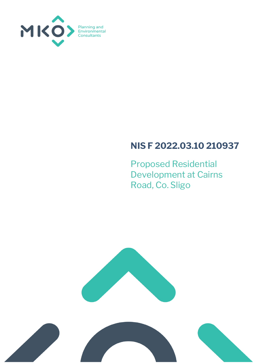

## **NIS F 2022.03.10 210937**

Proposed Residential Development at Cairns Road, Co. Sligo



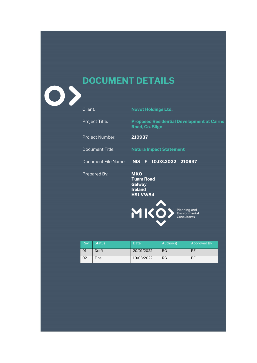



 $\overline{\mathbf{O}}$ 

Client: **Novot Holdings Ltd.**

Project Title: **Proposed Residential Development at Cairns** 

Project Number: **210937**

Prepared By: **MKO**

**Road, Co. Sligo**

Document Title: **Natura Impact Statement**

Document File Name: **NIS – F – 10.03.2022 – 210937**

**Tuam Road Galway Ireland H91 VW84**

MK Planning and<br>Environmental<br>Consultants

| Rev | <b>Status</b> | <b>Date</b> | Author(s) | Approved By |
|-----|---------------|-------------|-----------|-------------|
| 01  | <b>Draft</b>  | 20/01/2022  | RG        | РE          |
| 02  | Final         | 10/03/2022  | RG        | PE          |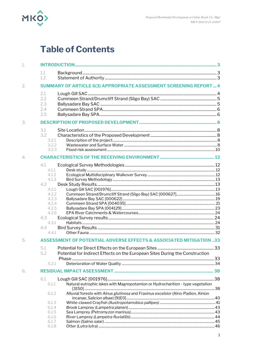

## **Table of Contents**

| 1.1<br>1.2                                                                                                                                                                                                                                |       |
|-------------------------------------------------------------------------------------------------------------------------------------------------------------------------------------------------------------------------------------------|-------|
| <b>SUMMARY OF ARTICLE 6(3) APPROPRIATE ASSESSMENT SCREENING REPORT  4</b>                                                                                                                                                                 |       |
| 2.1<br>2.2<br>2.3<br>2.4<br>2.5                                                                                                                                                                                                           |       |
|                                                                                                                                                                                                                                           |       |
| 3.1<br>3.2<br>3.2.1<br>3.2.2<br>3.2.3                                                                                                                                                                                                     |       |
|                                                                                                                                                                                                                                           |       |
| 4.1<br>4.1.1<br>4.1.2<br>4.1.3<br>4.2<br>4.2.1<br>4.2.2<br>4.2.3<br>4.2.4<br>4.2.5<br>4.2.6<br>4.3<br>4.3.1<br>4.4<br>4.4.1<br><b>ASSESSMENT OF POTENTIAL ADVERSE EFFECTS &amp; ASSOCIATED MITIGATION 33</b><br>5.1                       |       |
| Potential for Indirect Effects on the European Sites During the Construction<br>5.2<br>5.2.1                                                                                                                                              |       |
|                                                                                                                                                                                                                                           |       |
| 6.1<br>Natural eutrophic lakes with Magnopotamion or Hydrocharition - type vegetation<br>6.1.1<br>Alluvial forests with Alnus glutinosa and Fraxinus excelsior (Alno-Padion, Alnion<br>6.1.2<br>6.1.3<br>6.1.4<br>6.1.5<br>6.1.6<br>6.1.7 |       |
|                                                                                                                                                                                                                                           | 6.1.8 |